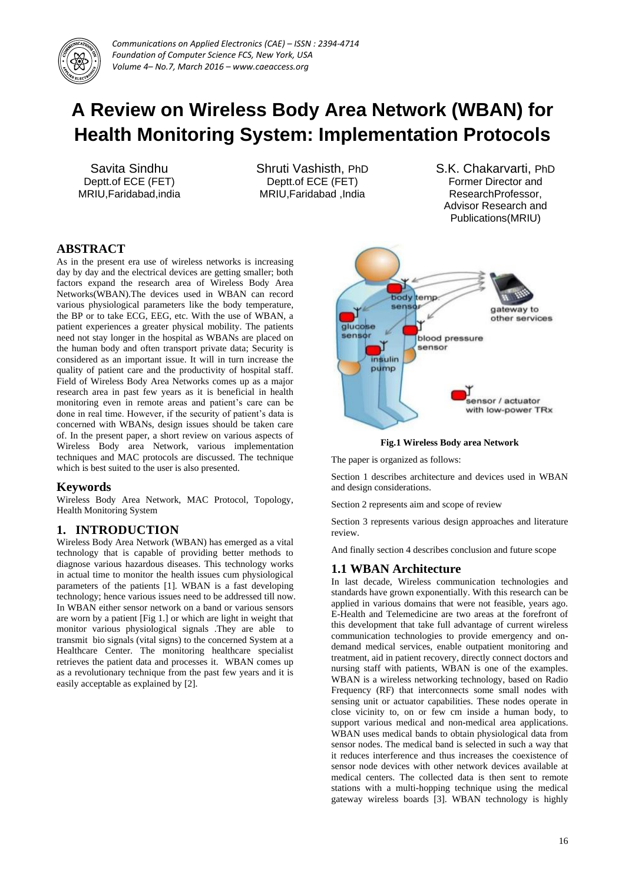

# **A Review on Wireless Body Area Network (WBAN) for Health Monitoring System: Implementation Protocols**

Savita Sindhu Deptt.of ECE (FET) MRIU,Faridabad,india Shruti Vashisth, PhD Deptt.of ECE (FET) MRIU,Faridabad ,India

S.K. Chakarvarti, PhD Former Director and ResearchProfessor, Advisor Research and Publications(MRIU)

# **ABSTRACT**

As in the present era use of wireless networks is increasing day by day and the electrical devices are getting smaller; both factors expand the research area of Wireless Body Area Networks(WBAN).The devices used in WBAN can record various physiological parameters like the body temperature, the BP or to take ECG, EEG, etc. With the use of WBAN, a patient experiences a greater physical mobility. The patients need not stay longer in the hospital as WBANs are placed on the human body and often transport private data; Security is considered as an important issue. It will in turn increase the quality of patient care and the productivity of hospital staff. Field of Wireless Body Area Networks comes up as a major research area in past few years as it is beneficial in health monitoring even in remote areas and patient's care can be done in real time. However, if the security of patient's data is concerned with WBANs, design issues should be taken care of. In the present paper, a short review on various aspects of Wireless Body area Network, various implementation techniques and MAC protocols are discussed. The technique which is best suited to the user is also presented.

# **Keywords**

Wireless Body Area Network, MAC Protocol, Topology, Health Monitoring System

# **1. INTRODUCTION**

Wireless Body Area Network (WBAN) has emerged as a vital technology that is capable of providing better methods to diagnose various hazardous diseases. This technology works in actual time to monitor the health issues cum physiological parameters of the patients [1]. WBAN is a fast developing technology; hence various issues need to be addressed till now. In WBAN either sensor network on a band or various sensors are worn by a patient [Fig 1.] or which are light in weight that monitor various physiological signals .They are able to transmit bio signals (vital signs) to the concerned System at a Healthcare Center. The monitoring healthcare specialist retrieves the patient data and processes it. WBAN comes up as a revolutionary technique from the past few years and it is easily acceptable as explained by [2].



**Fig.1 Wireless Body area Network**

The paper is organized as follows:

Section 1 describes architecture and devices used in WBAN and design considerations.

Section 2 represents aim and scope of review

Section 3 represents various design approaches and literature review.

And finally section 4 describes conclusion and future scope

## **1.1 WBAN Architecture**

In last decade, Wireless communication technologies and standards have grown exponentially. With this research can be applied in various domains that were not feasible, years ago. E-Health and Telemedicine are two areas at the forefront of this development that take full advantage of current wireless communication technologies to provide emergency and ondemand medical services, enable outpatient monitoring and treatment, aid in patient recovery, directly connect doctors and nursing staff with patients, WBAN is one of the examples. WBAN is a wireless networking technology, based on Radio Frequency (RF) that interconnects some small nodes with sensing unit or actuator capabilities. These nodes operate in close vicinity to, on or few cm inside a human body, to support various medical and non-medical area applications. WBAN uses medical bands to obtain physiological data from sensor nodes. The medical band is selected in such a way that it reduces interference and thus increases the coexistence of sensor node devices with other network devices available at medical centers. The collected data is then sent to remote stations with a multi-hopping technique using the medical gateway wireless boards [3]. WBAN technology is highly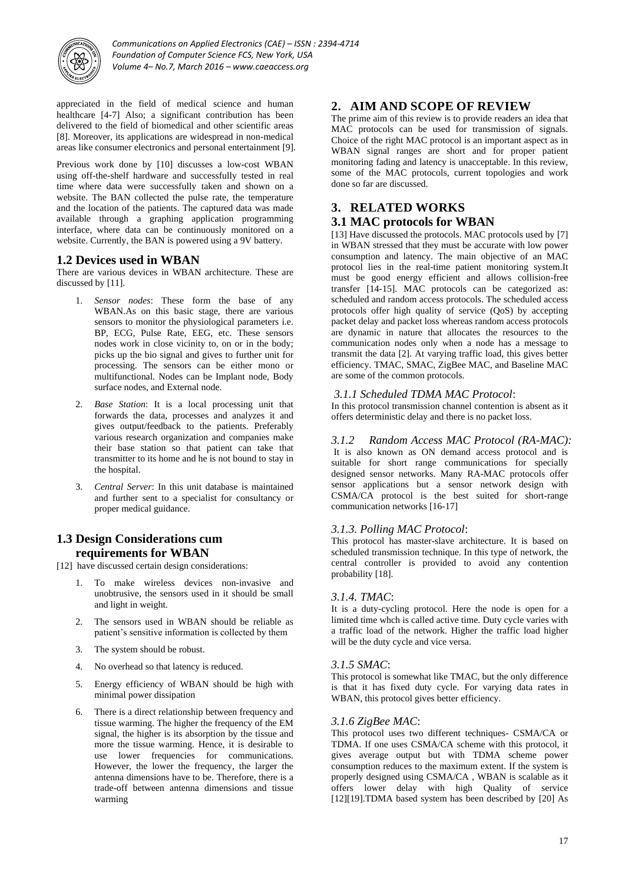

appreciated in the field of medical science and human healthcare [4-7] Also; a significant contribution has been delivered to the field of biomedical and other scientific areas [8]. Moreover, its applications are widespread in non-medical areas like consumer electronics and personal entertainment [9].

Previous work done by [10] discusses a low-cost WBAN using off-the-shelf hardware and successfully tested in real time where data were successfully taken and shown on a website. The BAN collected the pulse rate, the temperature and the location of the patients. The captured data was made available through a graphing application programming interface, where data can be continuously monitored on a website. Currently, the BAN is powered using a 9V battery.

## **1.2 Devices used in WBAN**

There are various devices in WBAN architecture. These are discussed by [11].

- 1. *Sensor nodes*: These form the base of any WBAN.As on this basic stage, there are various sensors to monitor the physiological parameters i.e. BP, ECG, Pulse Rate, EEG, etc. These sensors nodes work in close vicinity to, on or in the body; picks up the bio signal and gives to further unit for processing. The sensors can be either mono or multifunctional. Nodes can be Implant node, Body surface nodes, and External node.
- 2. *Base Station*: It is a local processing unit that forwards the data, processes and analyzes it and gives output/feedback to the patients. Preferably various research organization and companies make their base station so that patient can take that transmitter to its home and he is not bound to stay in the hospital.
- 3. *Central Server*: In this unit database is maintained and further sent to a specialist for consultancy or proper medical guidance.

#### **1.3 Design Considerations cum requirements for WBAN**

- [12] have discussed certain design considerations:
	- 1. To make wireless devices non-invasive and unobtrusive, the sensors used in it should be small and light in weight.
	- 2. The sensors used in WBAN should be reliable as patient's sensitive information is collected by them
	- 3. The system should be robust.
	- 4. No overhead so that latency is reduced.
	- 5. Energy efficiency of WBAN should be high with minimal power dissipation
	- 6. There is a direct relationship between frequency and tissue warming. The higher the frequency of the EM signal, the higher is its absorption by the tissue and more the tissue warming. Hence, it is desirable to use lower frequencies for communications. However, the lower the frequency, the larger the antenna dimensions have to be. Therefore, there is a trade-off between antenna dimensions and tissue warming

# **2. AIM AND SCOPE OF REVIEW**

The prime aim of this review is to provide readers an idea that MAC protocols can be used for transmission of signals. Choice of the right MAC protocol is an important aspect as in WBAN signal ranges are short and for proper patient monitoring fading and latency is unacceptable. In this review, some of the MAC protocols, current topologies and work done so far are discussed.

# **3. RELATED WORKS**

## **3.1 MAC protocols for WBAN**

[13] Have discussed the protocols. MAC protocols used by [7] in WBAN stressed that they must be accurate with low power consumption and latency. The main objective of an MAC protocol lies in the real-time patient monitoring system.It must be good energy efficient and allows collision-free transfer [14-15]. MAC protocols can be categorized as: scheduled and random access protocols. The scheduled access protocols offer high quality of service (QoS) by accepting packet delay and packet loss whereas random access protocols are dynamic in nature that allocates the resources to the communication nodes only when a node has a message to transmit the data [2]. At varying traffic load, this gives better efficiency. TMAC, SMAC, ZigBee MAC, and Baseline MAC are some of the common protocols.

#### *3.1.1 Scheduled TDMA MAC Protocol*:

In this protocol transmission channel contention is absent as it offers deterministic delay and there is no packet loss.

#### *3.1.2 Random Access MAC Protocol (RA-MAC):*

It is also known as ON demand access protocol and is suitable for short range communications for specially designed sensor networks. Many RA-MAC protocols offer sensor applications but a sensor network design with CSMA/CA protocol is the best suited for short-range communication networks [16-17]

## *3.1.3. Polling MAC Protocol*:

This protocol has master-slave architecture. It is based on scheduled transmission technique. In this type of network, the central controller is provided to avoid any contention probability [18].

#### *3.1.4. TMAC*:

It is a duty-cycling protocol. Here the node is open for a limited time whch is called active time. Duty cycle varies with a traffic load of the network. Higher the traffic load higher will be the duty cycle and vice versa.

#### *3.1.5 SMAC*:

This protocol is somewhat like TMAC, but the only difference is that it has fixed duty cycle. For varying data rates in WBAN, this protocol gives better efficiency.

#### *3.1.6 ZigBee MAC*:

This protocol uses two different techniques- CSMA/CA or TDMA. If one uses CSMA/CA scheme with this protocol, it gives average output but with TDMA scheme power consumption reduces to the maximum extent. If the system is properly designed using CSMA/CA , WBAN is scalable as it offers lower delay with high Quality of service [12][19].TDMA based system has been described by [20] As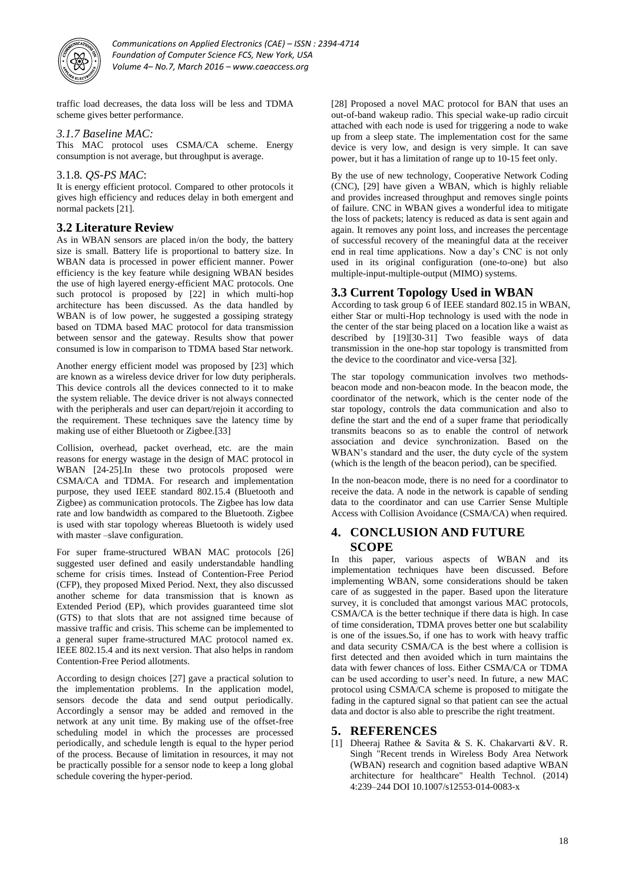

*Communications on Applied Electronics (CAE) – ISSN : 2394-4714 Foundation of Computer Science FCS, New York, USA Volume 4– No.7, March 2016 – www.caeaccess.org*

traffic load decreases, the data loss will be less and TDMA scheme gives better performance.

#### *3.1.7 Baseline MAC:*

This MAC protocol uses CSMA/CA scheme. Energy consumption is not average, but throughput is average.

#### 3.1.8*. QS-PS MAC*:

It is energy efficient protocol. Compared to other protocols it gives high efficiency and reduces delay in both emergent and normal packets [21].

# **3.2 Literature Review**

As in WBAN sensors are placed in/on the body, the battery size is small. Battery life is proportional to battery size. In WBAN data is processed in power efficient manner. Power efficiency is the key feature while designing WBAN besides the use of high layered energy-efficient MAC protocols. One such protocol is proposed by [22] in which multi-hop architecture has been discussed. As the data handled by WBAN is of low power, he suggested a gossiping strategy based on TDMA based MAC protocol for data transmission between sensor and the gateway. Results show that power consumed is low in comparison to TDMA based Star network.

Another energy efficient model was proposed by [23] which are known as a wireless device driver for low duty peripherals. This device controls all the devices connected to it to make the system reliable. The device driver is not always connected with the peripherals and user can depart/rejoin it according to the requirement. These techniques save the latency time by making use of either Bluetooth or Zigbee.[33]

Collision, overhead, packet overhead, etc. are the main reasons for energy wastage in the design of MAC protocol in WBAN [24-25].In these two protocols proposed were CSMA/CA and TDMA. For research and implementation purpose, they used IEEE standard 802.15.4 (Bluetooth and Zigbee) as communication protocols. The Zigbee has low data rate and low bandwidth as compared to the Bluetooth. Zigbee is used with star topology whereas Bluetooth is widely used with master –slave configuration.

For super frame-structured WBAN MAC protocols [26] suggested user defined and easily understandable handling scheme for crisis times. Instead of Contention-Free Period (CFP), they proposed Mixed Period. Next, they also discussed another scheme for data transmission that is known as Extended Period (EP), which provides guaranteed time slot (GTS) to that slots that are not assigned time because of massive traffic and crisis. This scheme can be implemented to a general super frame-structured MAC protocol named ex. IEEE 802.15.4 and its next version. That also helps in random Contention-Free Period allotments.

According to design choices [27] gave a practical solution to the implementation problems. In the application model, sensors decode the data and send output periodically. Accordingly a sensor may be added and removed in the network at any unit time. By making use of the offset-free scheduling model in which the processes are processed periodically, and schedule length is equal to the hyper period of the process. Because of limitation in resources, it may not be practically possible for a sensor node to keep a long global schedule covering the hyper-period.

[28] Proposed a novel MAC protocol for BAN that uses an out-of-band wakeup radio. This special wake-up radio circuit attached with each node is used for triggering a node to wake up from a sleep state. The implementation cost for the same device is very low, and design is very simple. It can save power, but it has a limitation of range up to 10-15 feet only.

By the use of new technology, Cooperative Network Coding (CNC), [29] have given a WBAN, which is highly reliable and provides increased throughput and removes single points of failure. CNC in WBAN gives a wonderful idea to mitigate the loss of packets; latency is reduced as data is sent again and again. It removes any point loss, and increases the percentage of successful recovery of the meaningful data at the receiver end in real time applications. Now a day's CNC is not only used in its original configuration (one-to-one) but also multiple-input-multiple-output (MIMO) systems.

#### **3.3 Current Topology Used in WBAN**

According to task group 6 of IEEE standard 802.15 in WBAN, either Star or multi-Hop technology is used with the node in the center of the star being placed on a location like a waist as described by [19][30-31] Two feasible ways of data transmission in the one-hop star topology is transmitted from the device to the coordinator and vice-versa [32].

The star topology communication involves two methodsbeacon mode and non-beacon mode. In the beacon mode, the coordinator of the network, which is the center node of the star topology, controls the data communication and also to define the start and the end of a super frame that periodically transmits beacons so as to enable the control of network association and device synchronization. Based on the WBAN's standard and the user, the duty cycle of the system (which is the length of the beacon period), can be specified.

In the non-beacon mode, there is no need for a coordinator to receive the data. A node in the network is capable of sending data to the coordinator and can use Carrier Sense Multiple Access with Collision Avoidance (CSMA/CA) when required.

## **4. CONCLUSION AND FUTURE SCOPE**

In this paper, various aspects of WBAN and its implementation techniques have been discussed. Before implementing WBAN, some considerations should be taken care of as suggested in the paper. Based upon the literature survey, it is concluded that amongst various MAC protocols, CSMA/CA is the better technique if there data is high. In case of time consideration, TDMA proves better one but scalability is one of the issues.So, if one has to work with heavy traffic and data security CSMA/CA is the best where a collision is first detected and then avoided which in turn maintains the data with fewer chances of loss. Either CSMA/CA or TDMA can be used according to user's need. In future, a new MAC protocol using CSMA/CA scheme is proposed to mitigate the fading in the captured signal so that patient can see the actual data and doctor is also able to prescribe the right treatment.

# **5. REFERENCES**

[1] Dheeraj Rathee & Savita & S. K. Chakarvarti &V. R. Singh "Recent trends in Wireless Body Area Network (WBAN) research and cognition based adaptive WBAN architecture for healthcare" Health Technol. (2014) 4:239–244 DOI 10.1007/s12553-014-0083-x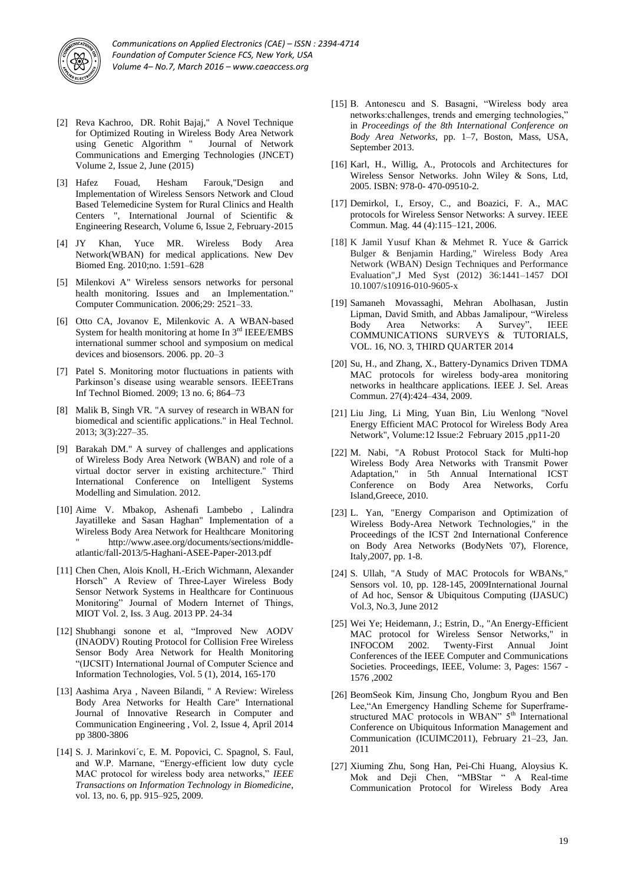

- [2] Reva Kachroo, DR. Rohit Bajaj," A Novel Technique for Optimized Routing in Wireless Body Area Network using Genetic Algorithm " Journal of Network Communications and Emerging Technologies (JNCET) Volume 2, Issue 2, June (2015)
- [3] Hafez Fouad, Hesham Farouk,"Design and Implementation of Wireless Sensors Network and Cloud Based Telemedicine System for Rural Clinics and Health Centers ", International Journal of Scientific & Engineering Research, Volume 6, Issue 2, February-2015
- [4] JY Khan, Yuce MR. Wireless Body Area Network(WBAN) for medical applications. New Dev Biomed Eng. 2010;no. 1:591–628
- [5] Milenkovi A" Wireless sensors networks for personal health monitoring. Issues and an Implementation." Computer Communication. 2006;29: 2521–33.
- [6] Otto CA, Jovanov E, Milenkovic A. A WBAN-based System for health monitoring at home In  $3<sup>rd</sup>$  IEEE/EMBS international summer school and symposium on medical devices and biosensors. 2006. pp. 20–3
- [7] Patel S. Monitoring motor fluctuations in patients with Parkinson's disease using wearable sensors. IEEETrans Inf Technol Biomed. 2009; 13 no. 6; 864–73
- [8] Malik B, Singh VR. "A survey of research in WBAN for biomedical and scientific applications." in Heal Technol. 2013; 3(3):227–35.
- [9] Barakah DM." A survey of challenges and applications of Wireless Body Area Network (WBAN) and role of a virtual doctor server in existing architecture." Third International Conference on Intelligent Systems Modelling and Simulation. 2012.
- [10] Aime V. Mbakop, Ashenafi Lambebo , Lalindra Jayatilleke and Sasan Haghan" Implementation of a Wireless Body Area Network for Healthcare Monitoring http://www.asee.org/documents/sections/middleatlantic/fall-2013/5-Haghani-ASEE-Paper-2013.pdf
- [11] Chen Chen, Alois Knoll, H.-Erich Wichmann, Alexander Horsch" A Review of Three-Layer Wireless Body Sensor Network Systems in Healthcare for Continuous Monitoring" Journal of Modern Internet of Things, MIOT Vol. 2, Iss. 3 Aug. 2013 PP. 24-34
- [12] Shubhangi sonone et al, "Improved New AODV (INAODV) Routing Protocol for Collision Free Wireless Sensor Body Area Network for Health Monitoring "(IJCSIT) International Journal of Computer Science and Information Technologies, Vol. 5 (1), 2014, 165-170
- [13] Aashima Arya , Naveen Bilandi, " A Review: Wireless Body Area Networks for Health Care" International Journal of Innovative Research in Computer and Communication Engineering , Vol. 2, Issue 4, April 2014 pp 3800-3806
- [14] S. J. Marinkovi´c, E. M. Popovici, C. Spagnol, S. Faul, and W.P. Marnane, "Energy-efficient low duty cycle MAC protocol for wireless body area networks," *IEEE Transactions on Information Technology in Biomedicine*, vol. 13, no. 6, pp. 915–925, 2009.
- [15] B. Antonescu and S. Basagni, "Wireless body area networks:challenges, trends and emerging technologies," in *Proceedings of the 8th International Conference on Body Area Networks*, pp. 1–7, Boston, Mass, USA, September 2013.
- [16] Karl, H., Willig, A., Protocols and Architectures for Wireless Sensor Networks. John Wiley & Sons, Ltd, 2005. ISBN: 978-0- 470-09510-2.
- [17] Demirkol, I., Ersoy, C., and Boazici, F. A., MAC protocols for Wireless Sensor Networks: A survey. IEEE Commun. Mag. 44 (4):115–121, 2006.
- [18] K Jamil Yusuf Khan & Mehmet R. Yuce & Garrick Bulger & Benjamin Harding," Wireless Body Area Network (WBAN) Design Techniques and Performance Evaluation",J Med Syst (2012) 36:1441–1457 DOI 10.1007/s10916-010-9605-x
- [19] Samaneh Movassaghi, Mehran Abolhasan, Justin Lipman, David Smith, and Abbas Jamalipour, "Wireless Body Area Networks: A Survey", IEEE COMMUNICATIONS SURVEYS & TUTORIALS, VOL. 16, NO. 3, THIRD QUARTER 2014
- [20] Su, H., and Zhang, X., Battery-Dynamics Driven TDMA MAC protocols for wireless body-area monitoring networks in healthcare applications. IEEE J. Sel. Areas Commun. 27(4):424–434, 2009.
- [21] Liu Jing, Li Ming, Yuan Bin, Liu Wenlong "Novel Energy Efficient MAC Protocol for Wireless Body Area Network", Volume:12 Issue:2 February 2015 ,pp11-20
- [22] M. Nabi, "A Robust Protocol Stack for Multi-hop Wireless Body Area Networks with Transmit Power Adaptation," in 5th Annual International ICST Conference on Body Area Networks, Corfu Island,Greece, 2010.
- [23] L. Yan, "Energy Comparison and Optimization of Wireless Body-Area Network Technologies," in the Proceedings of the ICST 2nd International Conference on Body Area Networks (BodyNets '07), Florence, Italy,2007, pp. 1-8.
- [24] S. Ullah, "A Study of MAC Protocols for WBANs," Sensors vol. 10, pp. 128-145, 2009International Journal of Ad hoc, Sensor & Ubiquitous Computing (IJASUC) Vol.3, No.3, June 2012
- [25] Wei Ye; Heidemann, J.; Estrin, D., "An Energy-Efficient MAC protocol for Wireless Sensor Networks," in INFOCOM 2002. Twenty-First Annual Joint Conferences of the IEEE Computer and Communications Societies. Proceedings, IEEE, Volume: 3, Pages: 1567 - 1576 ,2002
- [26] BeomSeok Kim, Jinsung Cho, Jongbum Ryou and Ben Lee,"An Emergency Handling Scheme for Superframestructured MAC protocols in WBAN" 5<sup>th</sup> International Conference on Ubiquitous Information Management and Communication (ICUIMC2011), February 21–23, Jan. 2011
- [27] Xiuming Zhu, Song Han, Pei-Chi Huang, Aloysius K. Mok and Deji Chen, "MBStar " A Real-time Communication Protocol for Wireless Body Area